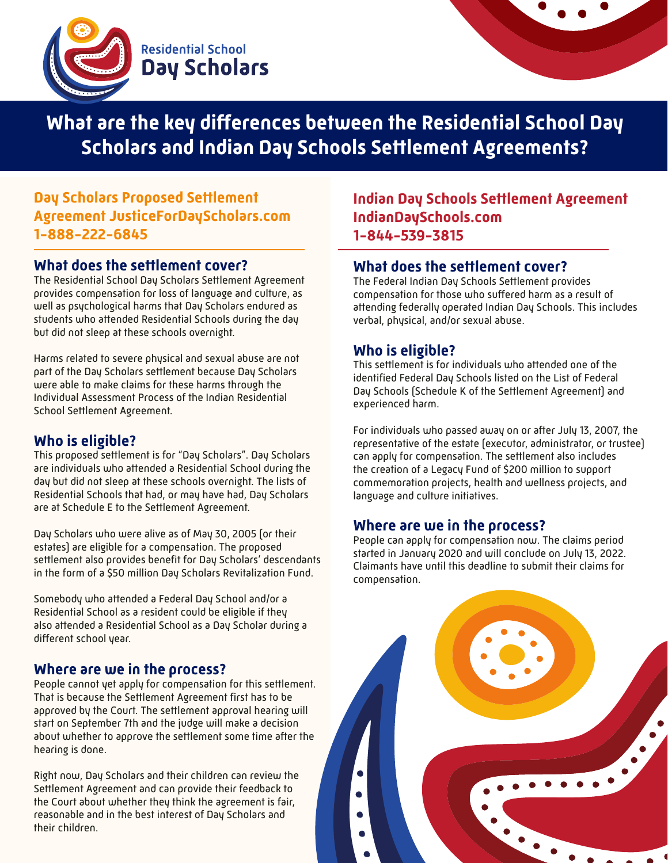



**What are the key differences between the Residential School Day Scholars and Indian Day Schools Settlement Agreements?**

## **Day Scholars Proposed Settlement Agreement JusticeForDayScholars.com 1-888-222-6845**

## **What does the settlement cover?**

The Residential School Day Scholars Settlement Agreement provides compensation for loss of language and culture, as well as psychological harms that Day Scholars endured as students who attended Residential Schools during the day but did not sleep at these schools overnight.

Harms related to severe physical and sexual abuse are not part of the Day Scholars settlement because Day Scholars were able to make claims for these harms through the Individual Assessment Process of the Indian Residential School Settlement Agreement.

## **Who is eligible?**

This proposed settlement is for "Day Scholars". Day Scholars are individuals who attended a Residential School during the day but did not sleep at these schools overnight. The lists of Residential Schools that had, or may have had, Day Scholars are at Schedule E to the Settlement Agreement.

Day Scholars who were alive as of May 30, 2005 (or their estates) are eligible for a compensation. The proposed settlement also provides benefit for Day Scholars' descendants in the form of a \$50 million Day Scholars Revitalization Fund.

Somebody who attended a Federal Day School and/or a Residential School as a resident could be eligible if they also attended a Residential School as a Day Scholar during a different school year.

## **Where are we in the process?**

People cannot yet apply for compensation for this settlement. That is because the Settlement Agreement first has to be approved by the Court. The settlement approval hearing will start on September 7th and the judge will make a decision about whether to approve the settlement some time after the hearing is done.

Right now, Day Scholars and their children can review the Settlement Agreement and can provide their feedback to the Court about whether they think the agreement is fair, reasonable and in the best interest of Day Scholars and their children.

**Indian Day Schools Settlement Agreement IndianDaySchools.com 1-844-539-3815**

#### **What does the settlement cover?**

The Federal Indian Day Schools Settlement provides compensation for those who suffered harm as a result of attending federally operated Indian Day Schools. This includes verbal, physical, and/or sexual abuse.

## **Who is eligible?**

This settlement is for individuals who attended one of the identified Federal Day Schools listed on the List of Federal Day Schools (Schedule K of the Settlement Agreement) and experienced harm.

For individuals who passed away on or after July 13, 2007, the representative of the estate (executor, administrator, or trustee) can apply for compensation. The settlement also includes the creation of a Legacy Fund of \$200 million to support commemoration projects, health and wellness projects, and language and culture initiatives.

## **Where are we in the process?**

People can apply for compensation now. The claims period started in January 2020 and will conclude on July 13, 2022. Claimants have until this deadline to submit their claims for compensation.